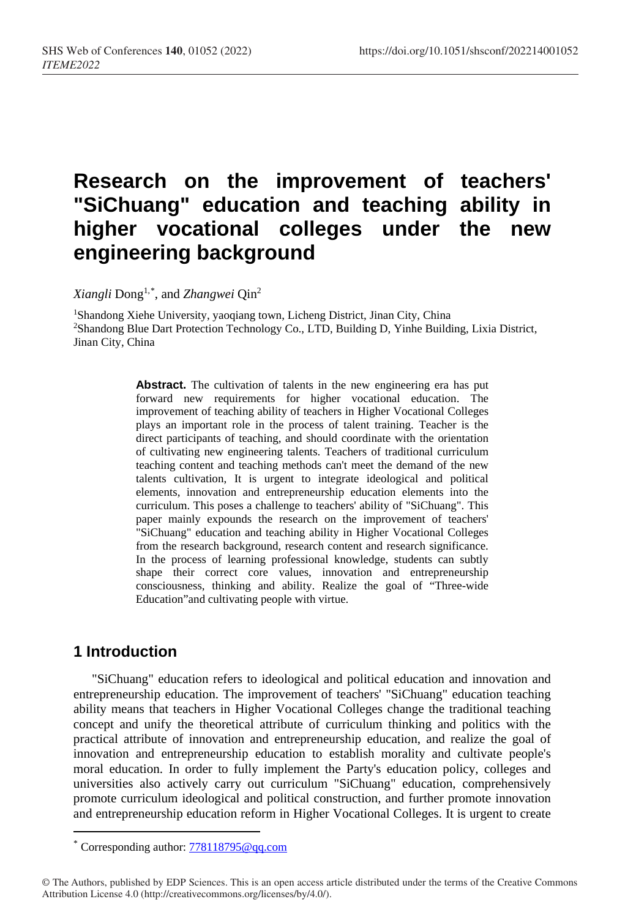# **Research on the improvement of teachers' "SiChuang" education and teaching ability in higher vocational colleges under the new engineering background**

*Xiangli* Dong1,[\\*](#page-0-0) , and *Zhangwei* Qin2

1Shandong Xiehe University, yaoqiang town, Licheng District, Jinan City, China 2Shandong Blue Dart Protection Technology Co., LTD, Building D, Yinhe Building, Lixia District, Jinan City, China

> **Abstract.** The cultivation of talents in the new engineering era has put forward new requirements for higher vocational education. The improvement of teaching ability of teachers in Higher Vocational Colleges plays an important role in the process of talent training. Teacher is the direct participants of teaching, and should coordinate with the orientation of cultivating new engineering talents. Teachers of traditional curriculum teaching content and teaching methods can't meet the demand of the new talents cultivation, It is urgent to integrate ideological and political elements, innovation and entrepreneurship education elements into the curriculum. This poses a challenge to teachers' ability of "SiChuang". This paper mainly expounds the research on the improvement of teachers' "SiChuang" education and teaching ability in Higher Vocational Colleges from the research background, research content and research significance. In the process of learning professional knowledge, students can subtly shape their correct core values, innovation and entrepreneurship consciousness, thinking and ability. Realize the goal of "Three-wide Education"and cultivating people with virtue.

## **1 Introduction**

 $\overline{a}$ 

"SiChuang" education refers to ideological and political education and innovation and entrepreneurship education. The improvement of teachers' "SiChuang" education teaching ability means that teachers in Higher Vocational Colleges change the traditional teaching concept and unify the theoretical attribute of curriculum thinking and politics with the practical attribute of innovation and entrepreneurship education, and realize the goal of innovation and entrepreneurship education to establish morality and cultivate people's moral education. In order to fully implement the Party's education policy, colleges and universities also actively carry out curriculum "SiChuang" education, comprehensively promote curriculum ideological and political construction, and further promote innovation and entrepreneurship education reform in Higher Vocational Colleges. It is urgent to create

<span id="page-0-0"></span><sup>\*</sup> Corresponding author: [778118795@qq.com](mailto:778118795@qq.com)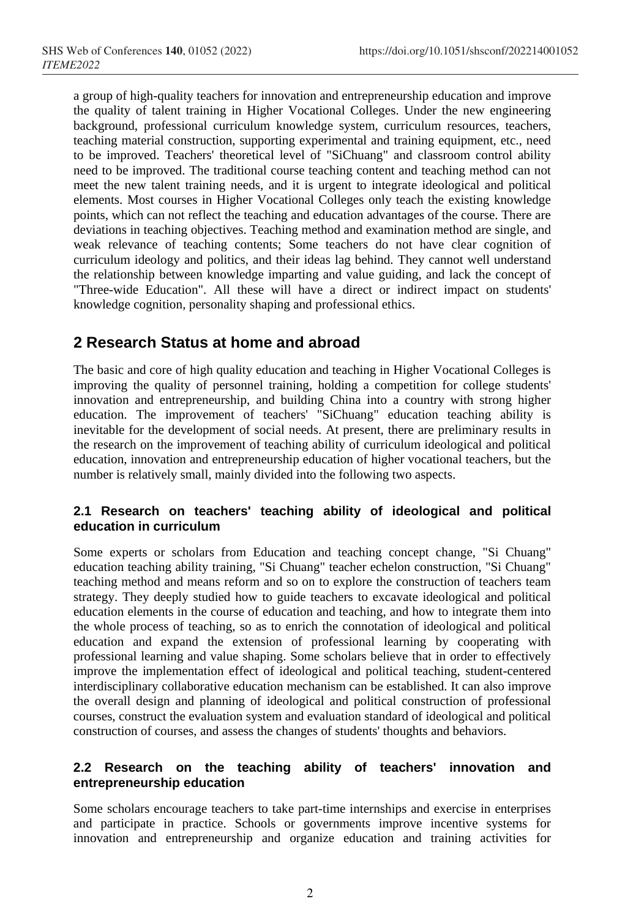a group of high-quality teachers for innovation and entrepreneurship education and improve the quality of talent training in Higher Vocational Colleges. Under the new engineering background, professional curriculum knowledge system, curriculum resources, teachers, teaching material construction, supporting experimental and training equipment, etc., need to be improved. Teachers' theoretical level of "SiChuang" and classroom control ability need to be improved. The traditional course teaching content and teaching method can not meet the new talent training needs, and it is urgent to integrate ideological and political elements. Most courses in Higher Vocational Colleges only teach the existing knowledge points, which can not reflect the teaching and education advantages of the course. There are deviations in teaching objectives. Teaching method and examination method are single, and weak relevance of teaching contents; Some teachers do not have clear cognition of curriculum ideology and politics, and their ideas lag behind. They cannot well understand the relationship between knowledge imparting and value guiding, and lack the concept of "Three-wide Education". All these will have a direct or indirect impact on students' knowledge cognition, personality shaping and professional ethics.

## **2 Research Status at home and abroad**

The basic and core of high quality education and teaching in Higher Vocational Colleges is improving the quality of personnel training, holding a competition for college students' innovation and entrepreneurship, and building China into a country with strong higher education. The improvement of teachers' "SiChuang" education teaching ability is inevitable for the development of social needs. At present, there are preliminary results in the research on the improvement of teaching ability of curriculum ideological and political education, innovation and entrepreneurship education of higher vocational teachers, but the number is relatively small, mainly divided into the following two aspects.

#### **2.1 Research on teachers' teaching ability of ideological and political education in curriculum**

Some experts or scholars from Education and teaching concept change, "Si Chuang" education teaching ability training, "Si Chuang" teacher echelon construction, "Si Chuang" teaching method and means reform and so on to explore the construction of teachers team strategy. They deeply studied how to guide teachers to excavate ideological and political education elements in the course of education and teaching, and how to integrate them into the whole process of teaching, so as to enrich the connotation of ideological and political education and expand the extension of professional learning by cooperating with professional learning and value shaping. Some scholars believe that in order to effectively improve the implementation effect of ideological and political teaching, student-centered interdisciplinary collaborative education mechanism can be established. It can also improve the overall design and planning of ideological and political construction of professional courses, construct the evaluation system and evaluation standard of ideological and political construction of courses, and assess the changes of students' thoughts and behaviors.

#### **2.2 Research on the teaching ability of teachers' innovation and entrepreneurship education**

Some scholars encourage teachers to take part-time internships and exercise in enterprises and participate in practice. Schools or governments improve incentive systems for innovation and entrepreneurship and organize education and training activities for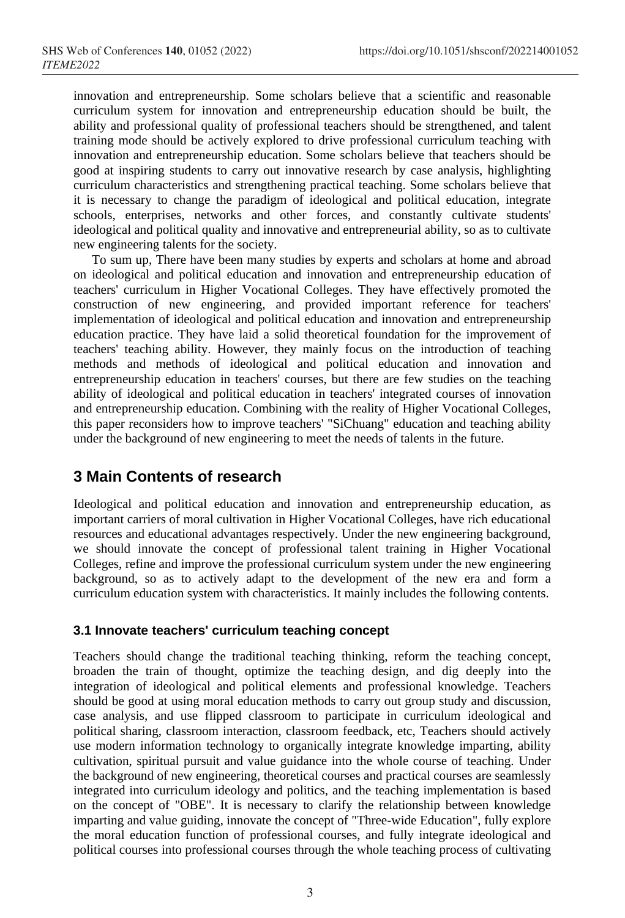innovation and entrepreneurship. Some scholars believe that a scientific and reasonable curriculum system for innovation and entrepreneurship education should be built, the ability and professional quality of professional teachers should be strengthened, and talent training mode should be actively explored to drive professional curriculum teaching with innovation and entrepreneurship education. Some scholars believe that teachers should be good at inspiring students to carry out innovative research by case analysis, highlighting curriculum characteristics and strengthening practical teaching. Some scholars believe that it is necessary to change the paradigm of ideological and political education, integrate schools, enterprises, networks and other forces, and constantly cultivate students' ideological and political quality and innovative and entrepreneurial ability, so as to cultivate new engineering talents for the society.

To sum up, There have been many studies by experts and scholars at home and abroad on ideological and political education and innovation and entrepreneurship education of teachers' curriculum in Higher Vocational Colleges. They have effectively promoted the construction of new engineering, and provided important reference for teachers' implementation of ideological and political education and innovation and entrepreneurship education practice. They have laid a solid theoretical foundation for the improvement of teachers' teaching ability. However, they mainly focus on the introduction of teaching methods and methods of ideological and political education and innovation and entrepreneurship education in teachers' courses, but there are few studies on the teaching ability of ideological and political education in teachers' integrated courses of innovation and entrepreneurship education. Combining with the reality of Higher Vocational Colleges, this paper reconsiders how to improve teachers' "SiChuang" education and teaching ability under the background of new engineering to meet the needs of talents in the future.

## **3 Main Contents of research**

Ideological and political education and innovation and entrepreneurship education, as important carriers of moral cultivation in Higher Vocational Colleges, have rich educational resources and educational advantages respectively. Under the new engineering background, we should innovate the concept of professional talent training in Higher Vocational Colleges, refine and improve the professional curriculum system under the new engineering background, so as to actively adapt to the development of the new era and form a curriculum education system with characteristics. It mainly includes the following contents.

#### **3.1 Innovate teachers' curriculum teaching concept**

Teachers should change the traditional teaching thinking, reform the teaching concept, broaden the train of thought, optimize the teaching design, and dig deeply into the integration of ideological and political elements and professional knowledge. Teachers should be good at using moral education methods to carry out group study and discussion, case analysis, and use flipped classroom to participate in curriculum ideological and political sharing, classroom interaction, classroom feedback, etc, Teachers should actively use modern information technology to organically integrate knowledge imparting, ability cultivation, spiritual pursuit and value guidance into the whole course of teaching. Under the background of new engineering, theoretical courses and practical courses are seamlessly integrated into curriculum ideology and politics, and the teaching implementation is based on the concept of "OBE". It is necessary to clarify the relationship between knowledge imparting and value guiding, innovate the concept of "Three-wide Education", fully explore the moral education function of professional courses, and fully integrate ideological and political courses into professional courses through the whole teaching process of cultivating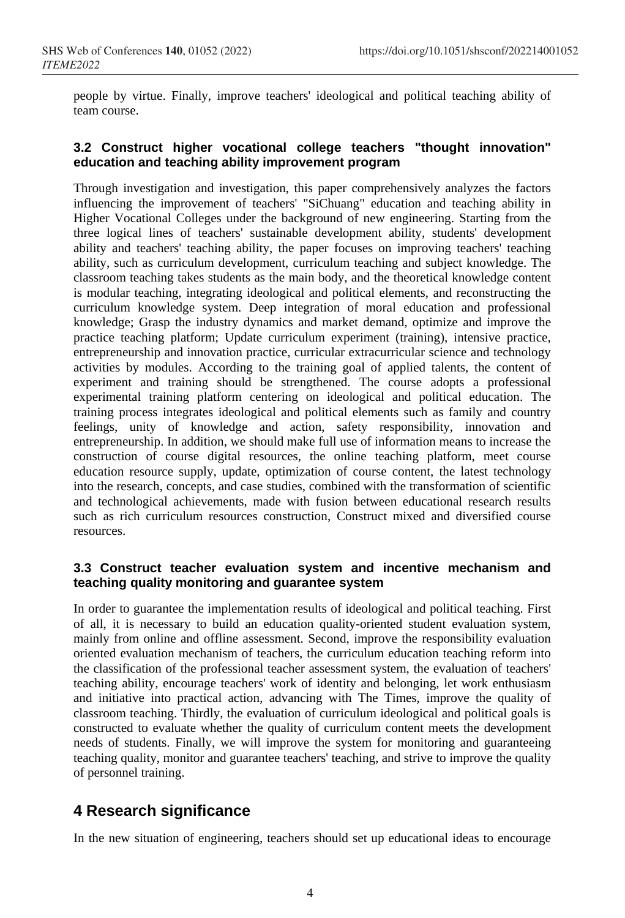people by virtue. Finally, improve teachers' ideological and political teaching ability of team course.

#### **3.2 Construct higher vocational college teachers "thought innovation" education and teaching ability improvement program**

Through investigation and investigation, this paper comprehensively analyzes the factors influencing the improvement of teachers' "SiChuang" education and teaching ability in Higher Vocational Colleges under the background of new engineering. Starting from the three logical lines of teachers' sustainable development ability, students' development ability and teachers' teaching ability, the paper focuses on improving teachers' teaching ability, such as curriculum development, curriculum teaching and subject knowledge. The classroom teaching takes students as the main body, and the theoretical knowledge content is modular teaching, integrating ideological and political elements, and reconstructing the curriculum knowledge system. Deep integration of moral education and professional knowledge; Grasp the industry dynamics and market demand, optimize and improve the practice teaching platform; Update curriculum experiment (training), intensive practice, entrepreneurship and innovation practice, curricular extracurricular science and technology activities by modules. According to the training goal of applied talents, the content of experiment and training should be strengthened. The course adopts a professional experimental training platform centering on ideological and political education. The training process integrates ideological and political elements such as family and country feelings, unity of knowledge and action, safety responsibility, innovation and entrepreneurship. In addition, we should make full use of information means to increase the construction of course digital resources, the online teaching platform, meet course education resource supply, update, optimization of course content, the latest technology into the research, concepts, and case studies, combined with the transformation of scientific and technological achievements, made with fusion between educational research results such as rich curriculum resources construction, Construct mixed and diversified course resources.

#### **3.3 Construct teacher evaluation system and incentive mechanism and teaching quality monitoring and guarantee system**

In order to guarantee the implementation results of ideological and political teaching. First of all, it is necessary to build an education quality-oriented student evaluation system, mainly from online and offline assessment. Second, improve the responsibility evaluation oriented evaluation mechanism of teachers, the curriculum education teaching reform into the classification of the professional teacher assessment system, the evaluation of teachers' teaching ability, encourage teachers' work of identity and belonging, let work enthusiasm and initiative into practical action, advancing with The Times, improve the quality of classroom teaching. Thirdly, the evaluation of curriculum ideological and political goals is constructed to evaluate whether the quality of curriculum content meets the development needs of students. Finally, we will improve the system for monitoring and guaranteeing teaching quality, monitor and guarantee teachers' teaching, and strive to improve the quality of personnel training.

# **4 Research significance**

In the new situation of engineering, teachers should set up educational ideas to encourage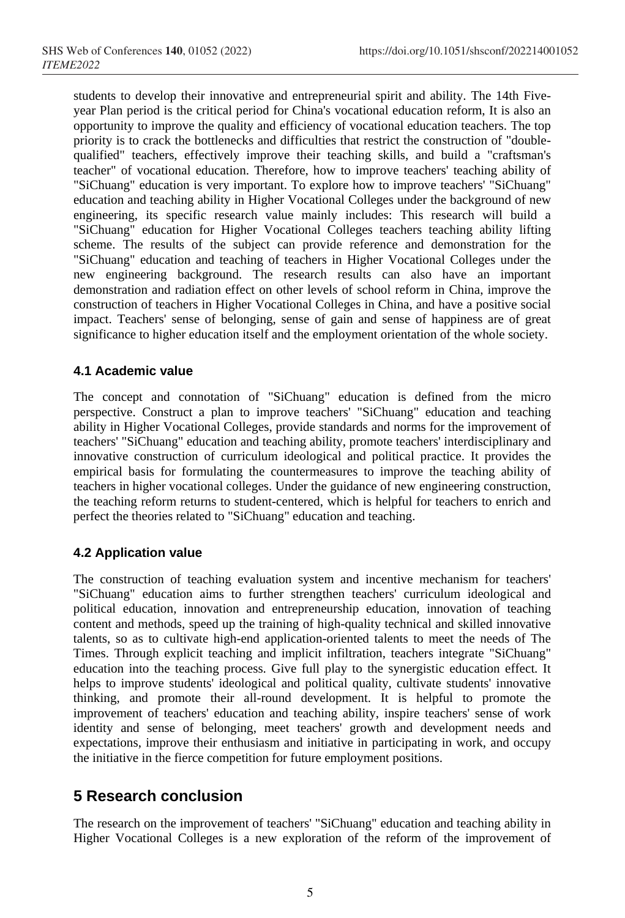students to develop their innovative and entrepreneurial spirit and ability. The 14th Fiveyear Plan period is the critical period for China's vocational education reform, It is also an opportunity to improve the quality and efficiency of vocational education teachers. The top priority is to crack the bottlenecks and difficulties that restrict the construction of "doublequalified" teachers, effectively improve their teaching skills, and build a "craftsman's teacher" of vocational education. Therefore, how to improve teachers' teaching ability of "SiChuang" education is very important. To explore how to improve teachers' "SiChuang" education and teaching ability in Higher Vocational Colleges under the background of new engineering, its specific research value mainly includes: This research will build a "SiChuang" education for Higher Vocational Colleges teachers teaching ability lifting scheme. The results of the subject can provide reference and demonstration for the "SiChuang" education and teaching of teachers in Higher Vocational Colleges under the new engineering background. The research results can also have an important demonstration and radiation effect on other levels of school reform in China, improve the construction of teachers in Higher Vocational Colleges in China, and have a positive social impact. Teachers' sense of belonging, sense of gain and sense of happiness are of great significance to higher education itself and the employment orientation of the whole society.

#### **4.1 Academic value**

The concept and connotation of "SiChuang" education is defined from the micro perspective. Construct a plan to improve teachers' "SiChuang" education and teaching ability in Higher Vocational Colleges, provide standards and norms for the improvement of teachers' "SiChuang" education and teaching ability, promote teachers' interdisciplinary and innovative construction of curriculum ideological and political practice. It provides the empirical basis for formulating the countermeasures to improve the teaching ability of teachers in higher vocational colleges. Under the guidance of new engineering construction, the teaching reform returns to student-centered, which is helpful for teachers to enrich and perfect the theories related to "SiChuang" education and teaching.

#### **4.2 Application value**

The construction of teaching evaluation system and incentive mechanism for teachers' "SiChuang" education aims to further strengthen teachers' curriculum ideological and political education, innovation and entrepreneurship education, innovation of teaching content and methods, speed up the training of high-quality technical and skilled innovative talents, so as to cultivate high-end application-oriented talents to meet the needs of The Times. Through explicit teaching and implicit infiltration, teachers integrate "SiChuang" education into the teaching process. Give full play to the synergistic education effect. It helps to improve students' ideological and political quality, cultivate students' innovative thinking, and promote their all-round development. It is helpful to promote the improvement of teachers' education and teaching ability, inspire teachers' sense of work identity and sense of belonging, meet teachers' growth and development needs and expectations, improve their enthusiasm and initiative in participating in work, and occupy the initiative in the fierce competition for future employment positions.

# **5 Research conclusion**

The research on the improvement of teachers' "SiChuang" education and teaching ability in Higher Vocational Colleges is a new exploration of the reform of the improvement of